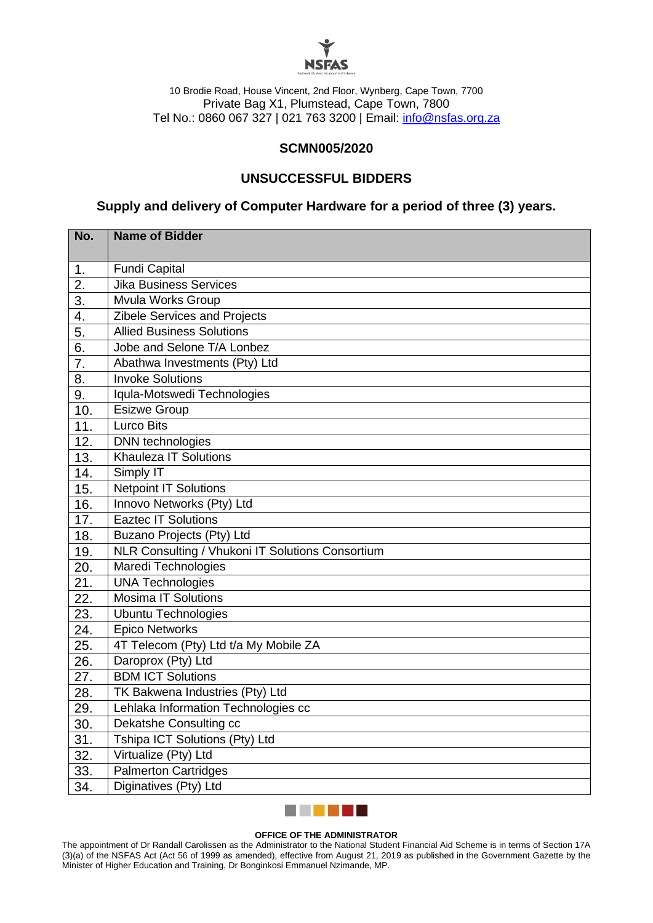

10 Brodie Road, House Vincent, 2nd Floor, Wynberg, Cape Town, 7700 Private Bag X1, Plumstead, Cape Town, 7800 Tel No.: 0860 067 327 | 021 763 3200 | Email: [info@nsfas.org.za](mailto:info@nsfas.org.za)

## **SCMN005/2020**

# **UNSUCCESSFUL BIDDERS**

**Supply and delivery of Computer Hardware for a period of three (3) years.**

| No. | <b>Name of Bidder</b>                            |
|-----|--------------------------------------------------|
| 1.  | <b>Fundi Capital</b>                             |
| 2.  | <b>Jika Business Services</b>                    |
| 3.  | Mvula Works Group                                |
| 4.  | Zibele Services and Projects                     |
| 5.  | <b>Allied Business Solutions</b>                 |
| 6.  | Jobe and Selone T/A Lonbez                       |
| 7.  | Abathwa Investments (Pty) Ltd                    |
| 8.  | <b>Invoke Solutions</b>                          |
| 9.  | Iqula-Motswedi Technologies                      |
| 10. | <b>Esizwe Group</b>                              |
| 11. | <b>Lurco Bits</b>                                |
| 12. | DNN technologies                                 |
| 13. | <b>Khauleza IT Solutions</b>                     |
| 14. | Simply IT                                        |
| 15. | <b>Netpoint IT Solutions</b>                     |
| 16. | Innovo Networks (Pty) Ltd                        |
| 17. | <b>Eaztec IT Solutions</b>                       |
| 18. | Buzano Projects (Pty) Ltd                        |
| 19. | NLR Consulting / Vhukoni IT Solutions Consortium |
| 20. | Maredi Technologies                              |
| 21. | <b>UNA Technologies</b>                          |
| 22. | <b>Mosima IT Solutions</b>                       |
| 23. | <b>Ubuntu Technologies</b>                       |
| 24. | <b>Epico Networks</b>                            |
| 25. | 4T Telecom (Pty) Ltd t/a My Mobile ZA            |
| 26. | Daroprox (Pty) Ltd                               |
| 27. | <b>BDM ICT Solutions</b>                         |
| 28. | TK Bakwena Industries (Pty) Ltd                  |
| 29. | Lehlaka Information Technologies cc              |
| 30. | Dekatshe Consulting cc                           |
| 31. | Tshipa ICT Solutions (Pty) Ltd                   |
| 32. | Virtualize (Pty) Ltd                             |
| 33. | <b>Palmerton Cartridges</b>                      |
| 34. | Diginatives (Pty) Ltd                            |



#### **OFFICE OF THE ADMINISTRATOR**

The appointment of Dr Randall Carolissen as the Administrator to the National Student Financial Aid Scheme is in terms of Section 17A (3)(a) of the NSFAS Act (Act 56 of 1999 as amended), effective from August 21, 2019 as published in the Government Gazette by the Minister of Higher Education and Training, Dr Bonginkosi Emmanuel Nzimande, MP.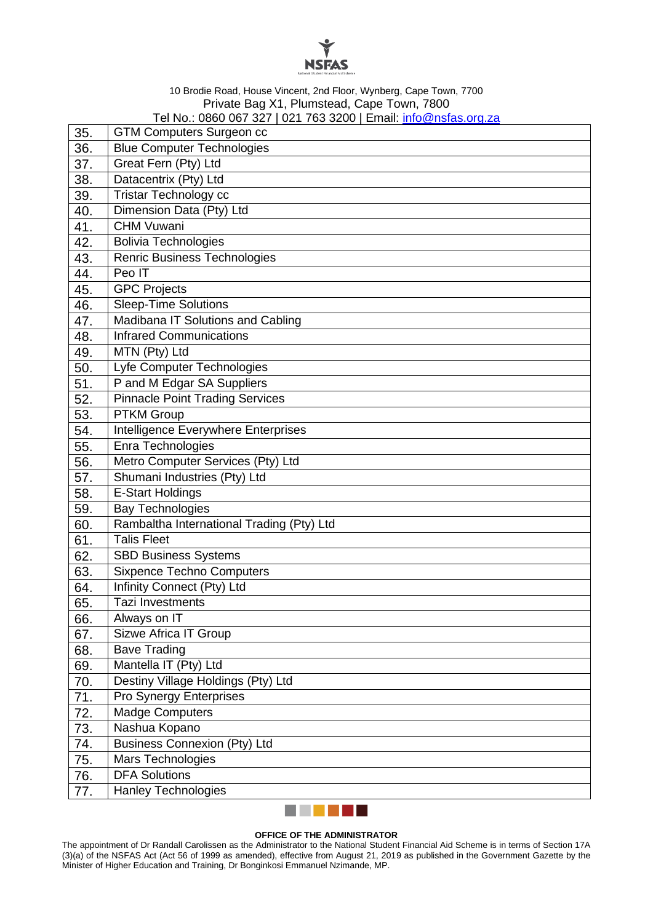

### 10 Brodie Road, House Vincent, 2nd Floor, Wynberg, Cape Town, 7700 Private Bag X1, Plumstead, Cape Town, 7800 Tel No.: 0860 067 327 | 021 763 3200 | Email: <u>info@nsfas.org.za</u>

| 35. | <u>101110 0000 007 JZ7   0Z1 70J JZ00   LINAII. INIO@NSIAS.ORJ.ZA</u><br><b>GTM Computers Surgeon cc</b> |
|-----|----------------------------------------------------------------------------------------------------------|
| 36. | <b>Blue Computer Technologies</b>                                                                        |
| 37. | Great Fern (Pty) Ltd                                                                                     |
| 38. | Datacentrix (Pty) Ltd                                                                                    |
| 39. | <b>Tristar Technology cc</b>                                                                             |
| 40. | Dimension Data (Pty) Ltd                                                                                 |
| 41. | <b>CHM Vuwani</b>                                                                                        |
| 42. | <b>Bolivia Technologies</b>                                                                              |
| 43. | <b>Renric Business Technologies</b>                                                                      |
| 44. | Peo IT                                                                                                   |
| 45. | <b>GPC Projects</b>                                                                                      |
| 46. | <b>Sleep-Time Solutions</b>                                                                              |
| 47. | Madibana IT Solutions and Cabling                                                                        |
| 48. | <b>Infrared Communications</b>                                                                           |
| 49. | MTN (Pty) Ltd                                                                                            |
| 50. | Lyfe Computer Technologies                                                                               |
| 51. | P and M Edgar SA Suppliers                                                                               |
| 52. | <b>Pinnacle Point Trading Services</b>                                                                   |
| 53. | <b>PTKM Group</b>                                                                                        |
| 54. | Intelligence Everywhere Enterprises                                                                      |
| 55. | Enra Technologies                                                                                        |
| 56. | Metro Computer Services (Pty) Ltd                                                                        |
| 57. | Shumani Industries (Pty) Ltd                                                                             |
| 58. | E-Start Holdings                                                                                         |
| 59. | <b>Bay Technologies</b>                                                                                  |
| 60. | Rambaltha International Trading (Pty) Ltd                                                                |
| 61. | <b>Talis Fleet</b>                                                                                       |
| 62. | <b>SBD Business Systems</b>                                                                              |
| 63. | <b>Sixpence Techno Computers</b>                                                                         |
| 64. | Infinity Connect (Pty) Ltd                                                                               |
| 65. | <b>Tazi Investments</b>                                                                                  |
| 66. | Always on IT                                                                                             |
| 67. | Sizwe Africa IT Group                                                                                    |
| 68. | <b>Bave Trading</b>                                                                                      |
| 69. | Mantella IT (Pty) Ltd                                                                                    |
| 70. | Destiny Village Holdings (Pty) Ltd                                                                       |
| 71. | Pro Synergy Enterprises                                                                                  |
| 72. | <b>Madge Computers</b>                                                                                   |
| 73. | Nashua Kopano                                                                                            |
| 74. | <b>Business Connexion (Pty) Ltd</b>                                                                      |
| 75. | Mars Technologies                                                                                        |
| 76. | <b>DFA Solutions</b>                                                                                     |
| 77. | <b>Hanley Technologies</b>                                                                               |



#### **OFFICE OF THE ADMINISTRATOR**

The appointment of Dr Randall Carolissen as the Administrator to the National Student Financial Aid Scheme is in terms of Section 17A (3)(a) of the NSFAS Act (Act 56 of 1999 as amended), effective from August 21, 2019 as published in the Government Gazette by the Minister of Higher Education and Training, Dr Bonginkosi Emmanuel Nzimande, MP.